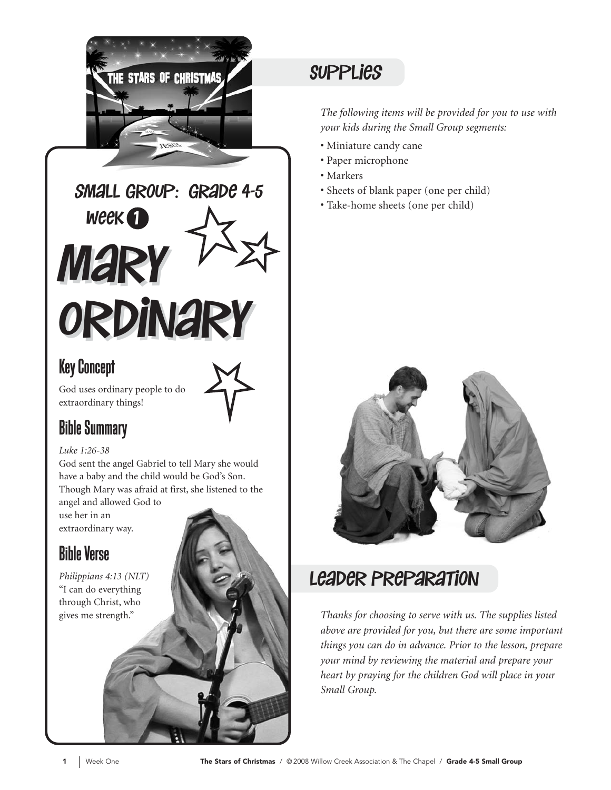

Mary Mary Ordinary Ordinary  $W$ eek $\bigcap$ small group: grade 4-5

#### Key Concept

God uses ordinary people to do extraordinary things!

#### Bible Summary

#### *Luke 1:26-38*

God sent the angel Gabriel to tell Mary she would have a baby and the child would be God's Son. Though Mary was afraid at first, she listened to the

angel and allowed God to use her in an extraordinary way.

### Bible Verse

*Philippians 4:13 (NLT)*  "I can do everything through Christ, who gives me strength."

### **SUPPLIES**

*The following items will be provided for you to use with your kids during the Small Group segments:*

- Miniature candy cane
- Paper microphone
- Markers
- Sheets of blank paper (one per child)
- Take-home sheets (one per child)



#### leader Preparation

*Thanks for choosing to serve with us. The supplies listed above are provided for you, but there are some important things you can do in advance. Prior to the lesson, prepare your mind by reviewing the material and prepare your heart by praying for the children God will place in your Small Group.*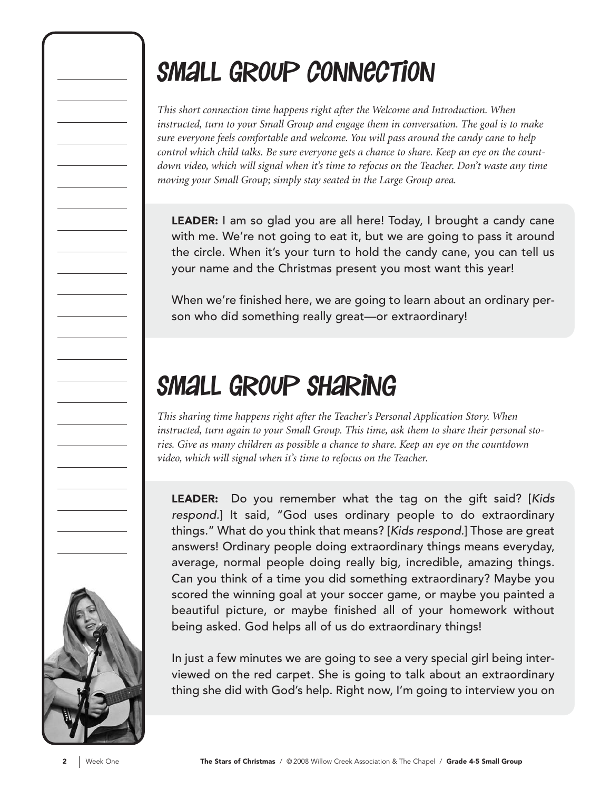## Small Group connection

*This short connection time happens right after the Welcome and Introduction. When instructed, turn to your Small Group and engage them in conversation. The goal is to make sure everyone feels comfortable and welcome. You will pass around the candy cane to help control which child talks. Be sure everyone gets a chance to share. Keep an eye on the countdown video, which will signal when it's time to refocus on the Teacher. Don't waste any time moving your Small Group; simply stay seated in the Large Group area.*

LEADER: I am so glad you are all here! Today, I brought a candy cane with me. We're not going to eat it, but we are going to pass it around the circle. When it's your turn to hold the candy cane, you can tell us your name and the Christmas present you most want this year!

When we're finished here, we are going to learn about an ordinary person who did something really great—or extraordinary!

## Small Group Sharing

*This sharing time happens right after the Teacher's Personal Application Story. When instructed, turn again to your Small Group. This time, ask them to share their personal stories. Give as many children as possible a chance to share. Keep an eye on the countdown video, which will signal when it's time to refocus on the Teacher.*

LEADER: Do you remember what the tag on the gift said? [Kids respond.] It said, "God uses ordinary people to do extraordinary things." What do you think that means? [Kids respond.] Those are great answers! Ordinary people doing extraordinary things means everyday, average, normal people doing really big, incredible, amazing things. Can you think of a time you did something extraordinary? Maybe you scored the winning goal at your soccer game, or maybe you painted a beautiful picture, or maybe finished all of your homework without being asked. God helps all of us do extraordinary things!

In just a few minutes we are going to see a very special girl being interviewed on the red carpet. She is going to talk about an extraordinary thing she did with God's help. Right now, I'm going to interview you on

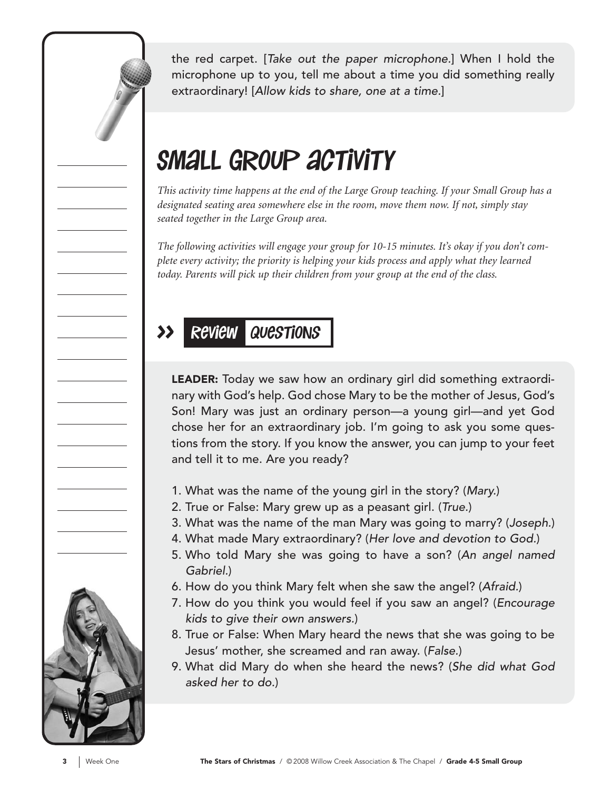the red carpet. [Take out the paper microphone.] When I hold the microphone up to you, tell me about a time you did something really extraordinary! [Allow kids to share, one at a time.]

## SMALL GROUP ACTIVITY

*This activity time happens at the end of the Large Group teaching. If your Small Group has a designated seating area somewhere else in the room, move them now. If not, simply stay seated together in the Large Group area.*

*The following activities will engage your group for 10-15 minutes. It's okay if you don't complete every activity; the priority is helping your kids process and apply what they learned today. Parents will pick up their children from your group at the end of the class.*

#### >> Review Questions

LEADER: Today we saw how an ordinary girl did something extraordinary with God's help. God chose Mary to be the mother of Jesus, God's Son! Mary was just an ordinary person—a young girl—and yet God chose her for an extraordinary job. I'm going to ask you some questions from the story. If you know the answer, you can jump to your feet and tell it to me. Are you ready?

- 1. What was the name of the young girl in the story? (Mary.)
- 2. True or False: Mary grew up as a peasant girl. (True.)
- 3. What was the name of the man Mary was going to marry? (Joseph.)
- 4. What made Mary extraordinary? (Her love and devotion to God.)
- 5. Who told Mary she was going to have a son? (An angel named Gabriel.)
- 6. How do you think Mary felt when she saw the angel? (Afraid.)
- 7. How do you think you would feel if you saw an angel? (Encourage kids to give their own answers.)
- 8. True or False: When Mary heard the news that she was going to be Jesus' mother, she screamed and ran away. (False.)
- 9. What did Mary do when she heard the news? (She did what God asked her to do.)

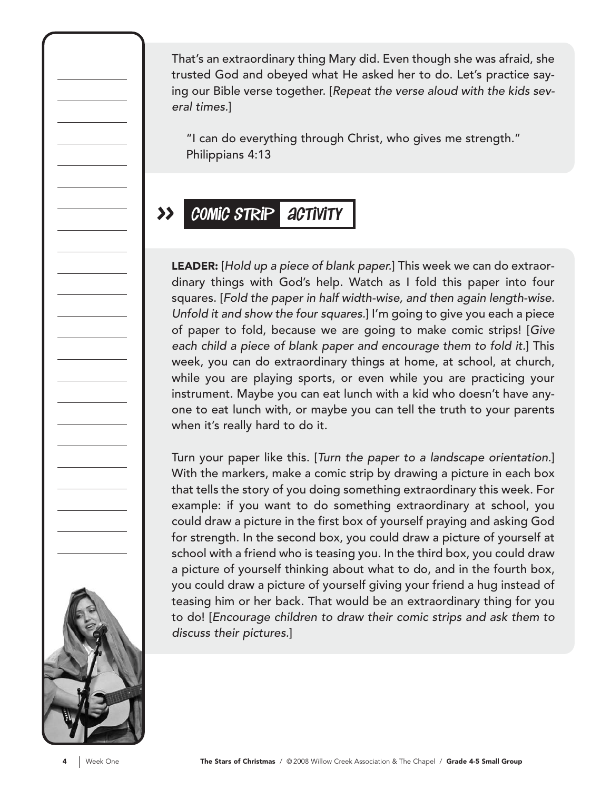That's an extraordinary thing Mary did. Even though she was afraid, she trusted God and obeyed what He asked her to do. Let's practice saying our Bible verse together. [Repeat the verse aloud with the kids several times.]

"I can do everything through Christ, who gives me strength." Philippians 4:13

#### >> comic strip activity

LEADER: [Hold up a piece of blank paper.] This week we can do extraordinary things with God's help. Watch as I fold this paper into four squares. [Fold the paper in half width-wise, and then again length-wise. Unfold it and show the four squares.] I'm going to give you each a piece of paper to fold, because we are going to make comic strips! [Give each child a piece of blank paper and encourage them to fold it.] This week, you can do extraordinary things at home, at school, at church, while you are playing sports, or even while you are practicing your instrument. Maybe you can eat lunch with a kid who doesn't have anyone to eat lunch with, or maybe you can tell the truth to your parents when it's really hard to do it.

Turn your paper like this. [Turn the paper to a landscape orientation.] With the markers, make a comic strip by drawing a picture in each box that tells the story of you doing something extraordinary this week. For example: if you want to do something extraordinary at school, you could draw a picture in the first box of yourself praying and asking God for strength. In the second box, you could draw a picture of yourself at school with a friend who is teasing you. In the third box, you could draw a picture of yourself thinking about what to do, and in the fourth box, you could draw a picture of yourself giving your friend a hug instead of teasing him or her back. That would be an extraordinary thing for you to do! [Encourage children to draw their comic strips and ask them to discuss their pictures.]

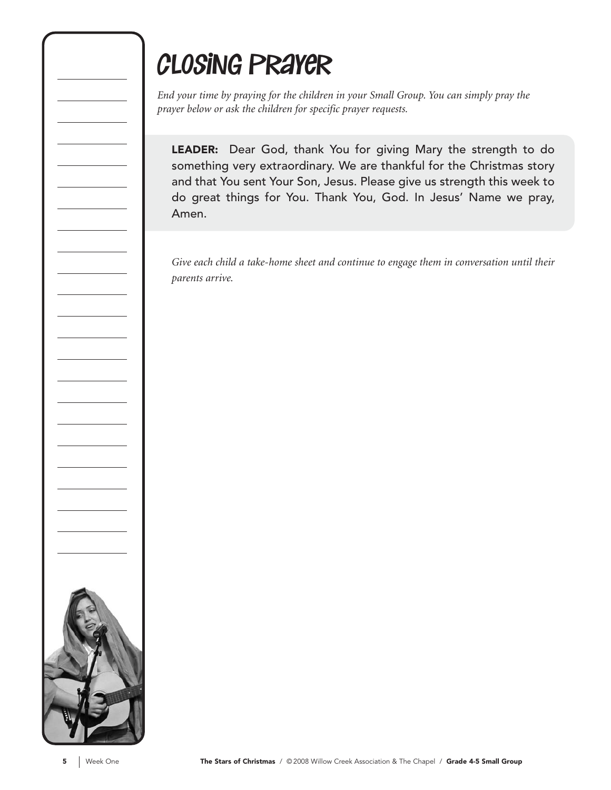## closing prayer

*End your time by praying for the children in your Small Group. You can simply pray the prayer below or ask the children for specific prayer requests.*

LEADER: Dear God, thank You for giving Mary the strength to do something very extraordinary. We are thankful for the Christmas story and that You sent Your Son, Jesus. Please give us strength this week to do great things for You. Thank You, God. In Jesus' Name we pray, Amen.

*Give each child a take-home sheet and continue to engage them in conversation until their parents arrive.*